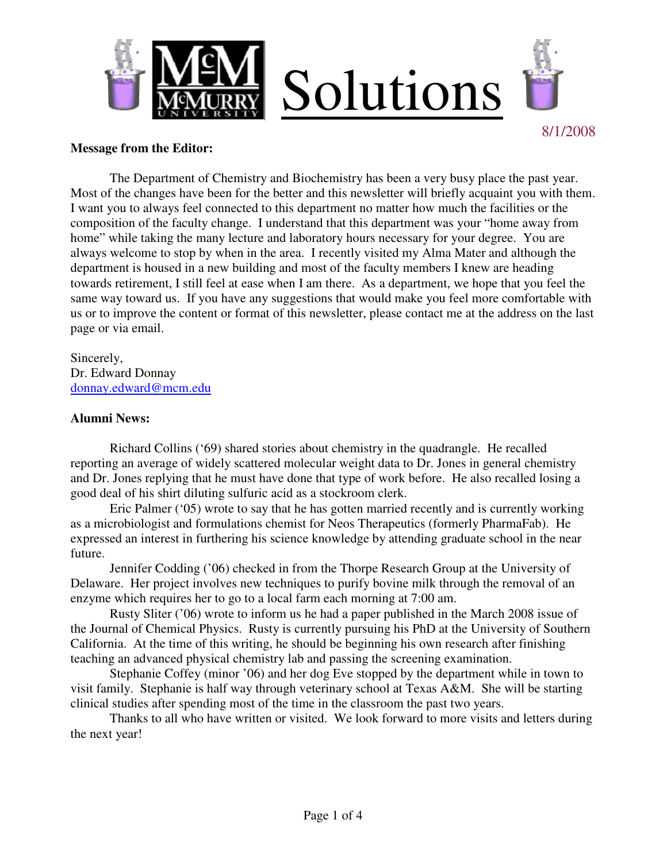

### **Message from the Editor:**

 The Department of Chemistry and Biochemistry has been a very busy place the past year. Most of the changes have been for the better and this newsletter will briefly acquaint you with them. I want you to always feel connected to this department no matter how much the facilities or the composition of the faculty change. I understand that this department was your "home away from home" while taking the many lecture and laboratory hours necessary for your degree. You are always welcome to stop by when in the area. I recently visited my Alma Mater and although the department is housed in a new building and most of the faculty members I knew are heading towards retirement, I still feel at ease when I am there. As a department, we hope that you feel the same way toward us. If you have any suggestions that would make you feel more comfortable with us or to improve the content or format of this newsletter, please contact me at the address on the last page or via email.

Sincerely, Dr. Edward Donnay donnay.edward@mcm.edu

## **Alumni News:**

 Richard Collins ('69) shared stories about chemistry in the quadrangle. He recalled reporting an average of widely scattered molecular weight data to Dr. Jones in general chemistry and Dr. Jones replying that he must have done that type of work before. He also recalled losing a good deal of his shirt diluting sulfuric acid as a stockroom clerk.

 Eric Palmer ('05) wrote to say that he has gotten married recently and is currently working as a microbiologist and formulations chemist for Neos Therapeutics (formerly PharmaFab). He expressed an interest in furthering his science knowledge by attending graduate school in the near future.

 Jennifer Codding ('06) checked in from the Thorpe Research Group at the University of Delaware. Her project involves new techniques to purify bovine milk through the removal of an enzyme which requires her to go to a local farm each morning at 7:00 am.

 Rusty Sliter ('06) wrote to inform us he had a paper published in the March 2008 issue of the Journal of Chemical Physics. Rusty is currently pursuing his PhD at the University of Southern California. At the time of this writing, he should be beginning his own research after finishing teaching an advanced physical chemistry lab and passing the screening examination.

 Stephanie Coffey (minor '06) and her dog Eve stopped by the department while in town to visit family. Stephanie is half way through veterinary school at Texas A&M. She will be starting clinical studies after spending most of the time in the classroom the past two years.

 Thanks to all who have written or visited. We look forward to more visits and letters during the next year!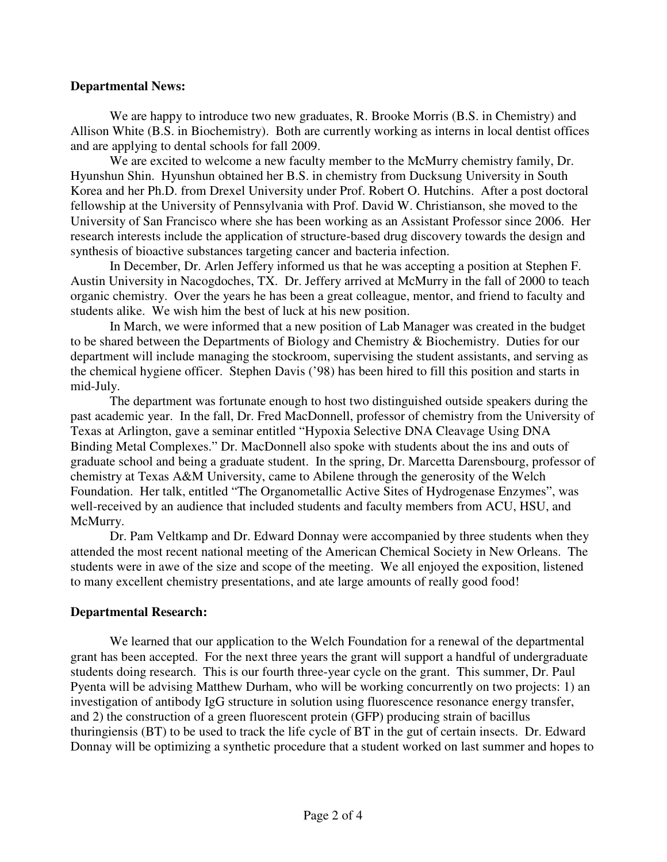## **Departmental News:**

 We are happy to introduce two new graduates, R. Brooke Morris (B.S. in Chemistry) and Allison White (B.S. in Biochemistry). Both are currently working as interns in local dentist offices and are applying to dental schools for fall 2009.

We are excited to welcome a new faculty member to the McMurry chemistry family, Dr. Hyunshun Shin. Hyunshun obtained her B.S. in chemistry from Ducksung University in South Korea and her Ph.D. from Drexel University under Prof. Robert O. Hutchins. After a post doctoral fellowship at the University of Pennsylvania with Prof. David W. Christianson, she moved to the University of San Francisco where she has been working as an Assistant Professor since 2006. Her research interests include the application of structure-based drug discovery towards the design and synthesis of bioactive substances targeting cancer and bacteria infection.

In December, Dr. Arlen Jeffery informed us that he was accepting a position at Stephen F. Austin University in Nacogdoches, TX. Dr. Jeffery arrived at McMurry in the fall of 2000 to teach organic chemistry. Over the years he has been a great colleague, mentor, and friend to faculty and students alike. We wish him the best of luck at his new position.

In March, we were informed that a new position of Lab Manager was created in the budget to be shared between the Departments of Biology and Chemistry & Biochemistry. Duties for our department will include managing the stockroom, supervising the student assistants, and serving as the chemical hygiene officer. Stephen Davis ('98) has been hired to fill this position and starts in mid-July.

 The department was fortunate enough to host two distinguished outside speakers during the past academic year. In the fall, Dr. Fred MacDonnell, professor of chemistry from the University of Texas at Arlington, gave a seminar entitled "Hypoxia Selective DNA Cleavage Using DNA Binding Metal Complexes." Dr. MacDonnell also spoke with students about the ins and outs of graduate school and being a graduate student. In the spring, Dr. Marcetta Darensbourg, professor of chemistry at Texas A&M University, came to Abilene through the generosity of the Welch Foundation. Her talk, entitled "The Organometallic Active Sites of Hydrogenase Enzymes", was well-received by an audience that included students and faculty members from ACU, HSU, and McMurry.

 Dr. Pam Veltkamp and Dr. Edward Donnay were accompanied by three students when they attended the most recent national meeting of the American Chemical Society in New Orleans. The students were in awe of the size and scope of the meeting. We all enjoyed the exposition, listened to many excellent chemistry presentations, and ate large amounts of really good food!

## **Departmental Research:**

We learned that our application to the Welch Foundation for a renewal of the departmental grant has been accepted. For the next three years the grant will support a handful of undergraduate students doing research. This is our fourth three-year cycle on the grant. This summer, Dr. Paul Pyenta will be advising Matthew Durham, who will be working concurrently on two projects: 1) an investigation of antibody IgG structure in solution using fluorescence resonance energy transfer, and 2) the construction of a green fluorescent protein (GFP) producing strain of bacillus thuringiensis (BT) to be used to track the life cycle of BT in the gut of certain insects. Dr. Edward Donnay will be optimizing a synthetic procedure that a student worked on last summer and hopes to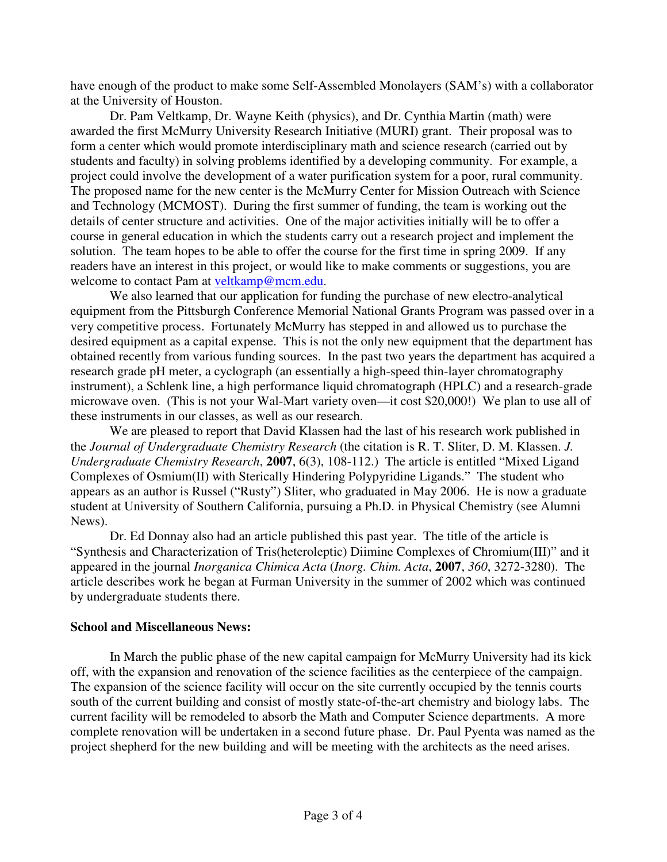have enough of the product to make some Self-Assembled Monolayers (SAM's) with a collaborator at the University of Houston.

Dr. Pam Veltkamp, Dr. Wayne Keith (physics), and Dr. Cynthia Martin (math) were awarded the first McMurry University Research Initiative (MURI) grant. Their proposal was to form a center which would promote interdisciplinary math and science research (carried out by students and faculty) in solving problems identified by a developing community. For example, a project could involve the development of a water purification system for a poor, rural community. The proposed name for the new center is the McMurry Center for Mission Outreach with Science and Technology (MCMOST). During the first summer of funding, the team is working out the details of center structure and activities. One of the major activities initially will be to offer a course in general education in which the students carry out a research project and implement the solution. The team hopes to be able to offer the course for the first time in spring 2009. If any readers have an interest in this project, or would like to make comments or suggestions, you are welcome to contact Pam at veltkamp@mcm.edu.

We also learned that our application for funding the purchase of new electro-analytical equipment from the Pittsburgh Conference Memorial National Grants Program was passed over in a very competitive process. Fortunately McMurry has stepped in and allowed us to purchase the desired equipment as a capital expense. This is not the only new equipment that the department has obtained recently from various funding sources. In the past two years the department has acquired a research grade pH meter, a cyclograph (an essentially a high-speed thin-layer chromatography instrument), a Schlenk line, a high performance liquid chromatograph (HPLC) and a research-grade microwave oven. (This is not your Wal-Mart variety oven—it cost \$20,000!) We plan to use all of these instruments in our classes, as well as our research.

 We are pleased to report that David Klassen had the last of his research work published in the *Journal of Undergraduate Chemistry Research* (the citation is R. T. Sliter, D. M. Klassen. *J. Undergraduate Chemistry Research*, **2007**, 6(3), 108-112.) The article is entitled "Mixed Ligand Complexes of Osmium(II) with Sterically Hindering Polypyridine Ligands." The student who appears as an author is Russel ("Rusty") Sliter, who graduated in May 2006. He is now a graduate student at University of Southern California, pursuing a Ph.D. in Physical Chemistry (see Alumni News).

 Dr. Ed Donnay also had an article published this past year. The title of the article is "Synthesis and Characterization of Tris(heteroleptic) Diimine Complexes of Chromium(III)" and it appeared in the journal *Inorganica Chimica Acta* (*Inorg. Chim. Acta*, **2007**, *360*, 3272-3280). The article describes work he began at Furman University in the summer of 2002 which was continued by undergraduate students there.

## **School and Miscellaneous News:**

 In March the public phase of the new capital campaign for McMurry University had its kick off, with the expansion and renovation of the science facilities as the centerpiece of the campaign. The expansion of the science facility will occur on the site currently occupied by the tennis courts south of the current building and consist of mostly state-of-the-art chemistry and biology labs. The current facility will be remodeled to absorb the Math and Computer Science departments. A more complete renovation will be undertaken in a second future phase. Dr. Paul Pyenta was named as the project shepherd for the new building and will be meeting with the architects as the need arises.